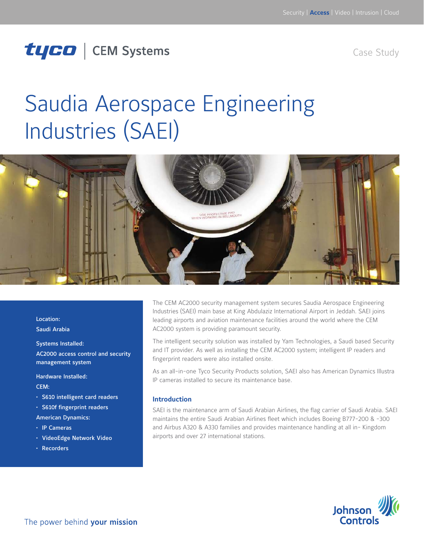## tyco | CEM Systems

Case Study

# Saudia Aerospace Engineering Industries (SAEI)



Location: Saudi Arabia

Systems Installed: AC2000 access control and security

management system

Hardware Installed: CEM:

- • S610 intelligent card readers
- • S610f fingerprint readers

American Dynamics:

- • IP Cameras
- • VideoEdge Network Video
- • Recorders

The CEM AC2000 security management system secures Saudia Aerospace Engineering Industries (SAEI) main base at King Abdulaziz International Airport in Jeddah. SAEI joins leading airports and aviation maintenance facilities around the world where the CEM AC2000 system is providing paramount security.

The intelligent security solution was installed by Yam Technologies, a Saudi based Security and IT provider. As well as installing the CEM AC2000 system; intelligent IP readers and fingerprint readers were also installed onsite.

As an all-in-one Tyco Security Products solution, SAEI also has American Dynamics Illustra IP cameras installed to secure its maintenance base.

#### **Introduction**

SAEI is the maintenance arm of Saudi Arabian Airlines, the flag carrier of Saudi Arabia. SAEI maintains the entire Saudi Arabian Airlines fleet which includes Boeing B777-200 & -300 and Airbus A320 & A330 families and provides maintenance handling at all in- Kingdom airports and over 27 international stations.

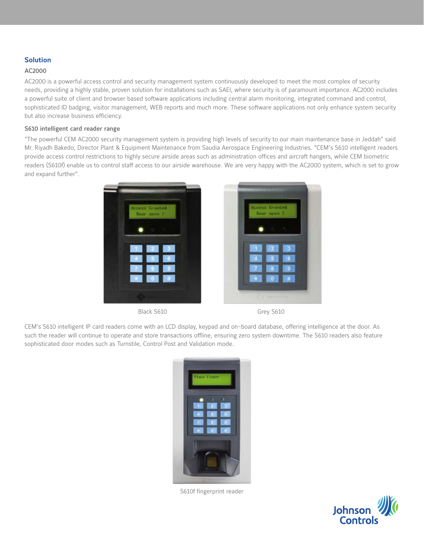#### **Solution**

#### AC2000

AC2000 is a powerful access control and security management system continuously developed to meet the most complex of security needs, providing a highly stable, proven solution for installations such as SAEI, where security is of paramount importance. AC2000 includes a powerful suite of client and browser based software applications including central alarm monitoring, integrated command and control, sophisticated ID badging, visitor management, WEB reports and much more. These software applications not only enhance system security but also increase business efficiency.

#### S610 intelligent card reader range

"The powerful CEM AC2000 security management system is providing high levels of security to our main maintenance base in Jeddah" said Mr. Riyadh Bakedo, Director Plant & Equipment Maintenance from Saudia Aerospace Engineering Industries. "CEM's S610 intelligent readers provide access control restrictions to highly secure airside areas such as administration offices and aircraft hangers, while CEM biometric readers (S610f) enable us to control staff access to our airside warehouse. We are very happy with the AC2000 system, which is set to grow and expand further".



CEM's S610 intelligent IP card readers come with an LCD display, keypad and on-board database, offering intelligence at the door. As such the reader will continue to operate and store transactions offline, ensuring zero system downtime. The S610 readers also feature sophisticated door modes such as Turnstile, Control Post and Validation mode.



S610f fingerprint reader